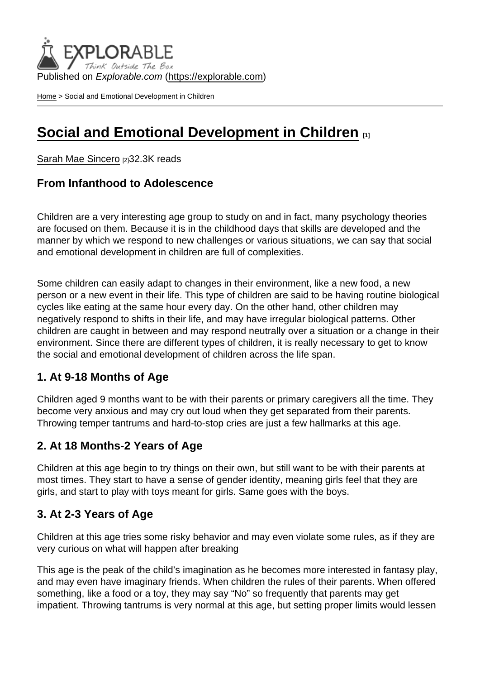Published on Explorable.com (<https://explorable.com>)

[Home](https://explorable.com/) > Social and Emotional Development in Children

# [Social and Emotional Development in Children](https://explorable.com/social-and-emotional-development)  $\frac{1}{111}$

[Sarah Mae Sincero](https://explorable.com/users/sarah) [2]32.3K reads

From Infanthood to Adolescence

Children are a very interesting age group to study on and in fact, many psychology theories are focused on them. Because it is in the childhood days that skills are developed and the manner by which we respond to new challenges or various situations, we can say that social and emotional development in children are full of complexities.

Some children can easily adapt to changes in their environment, like a new food, a new person or a new event in their life. This type of children are said to be having routine biological cycles like eating at the same hour every day. On the other hand, other children may negatively respond to shifts in their life, and may have irregular biological patterns. Other children are caught in between and may respond neutrally over a situation or a change in their environment. Since there are different types of children, it is really necessary to get to know the social and emotional development of children across the life span.

#### 1. At 9-18 Months of Age

Children aged 9 months want to be with their parents or primary caregivers all the time. They become very anxious and may cry out loud when they get separated from their parents. Throwing temper tantrums and hard-to-stop cries are just a few hallmarks at this age.

### 2. At 18 Months-2 Years of Age

Children at this age begin to try things on their own, but still want to be with their parents at most times. They start to have a sense of gender identity, meaning girls feel that they are girls, and start to play with toys meant for girls. Same goes with the boys.

#### 3. At 2-3 Years of Age

Children at this age tries some risky behavior and may even violate some rules, as if they are very curious on what will happen after breaking

This age is the peak of the child's imagination as he becomes more interested in fantasy play, and may even have imaginary friends. When children the rules of their parents. When offered something, like a food or a toy, they may say "No" so frequently that parents may get impatient. Throwing tantrums is very normal at this age, but setting proper limits would lessen